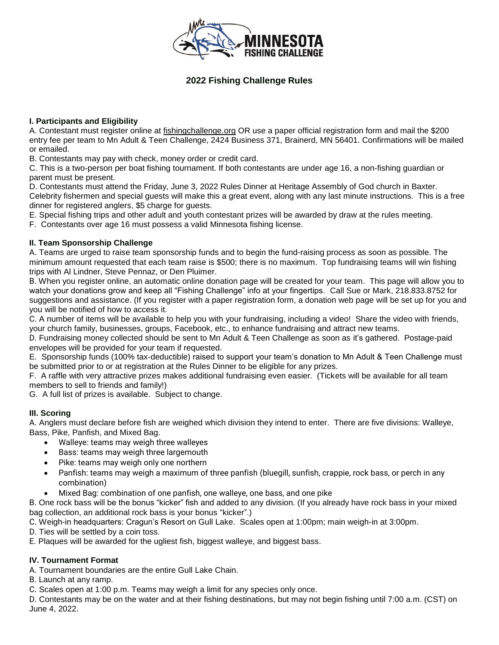

**2022 Fishing Challenge Rules**

## **I. Participants and Eligibility**

A. Contestant must register online at fishingchallenge.org OR use a paper official registration form and mail the \$200 entry fee per team to Mn Adult & Teen Challenge, 2424 Business 371, Brainerd, MN 56401. Confirmations will be mailed or emailed.

B. Contestants may pay with check, money order or credit card.

C. This is a two-person per boat fishing tournament. If both contestants are under age 16, a non-fishing guardian or parent must be present.

D. Contestants must attend the Friday, June 3, 2022 Rules Dinner at Heritage Assembly of God church in Baxter. Celebrity fishermen and special guests will make this a great event, along with any last minute instructions. This is a free dinner for registered anglers, \$5 charge for guests.

E. Special fishing trips and other adult and youth contestant prizes will be awarded by draw at the rules meeting.

F. Contestants over age 16 must possess a valid Minnesota fishing license.

## **II. Team Sponsorship Challenge**

A. Teams are urged to raise team sponsorship funds and to begin the fund-raising process as soon as possible. The minimum amount requested that each team raise is \$500; there is no maximum. Top fundraising teams will win fishing trips with Al Lindner, Steve Pennaz, or Den Pluimer.

B. When you register online, an automatic online donation page will be created for your team. This page will allow you to watch your donations grow and keep all "Fishing Challenge" info at your fingertips. Call Sue or Mark, 218.833.8752 for suggestions and assistance. (If you register with a paper registration form, a donation web page will be set up for you and you will be notified of how to access it.

C. A number of items will be available to help you with your fundraising, including a video! Share the video with friends, your church family, businesses, groups, Facebook, etc., to enhance fundraising and attract new teams.

D. Fundraising money collected should be sent to Mn Adult & Teen Challenge as soon as it's gathered. Postage-paid envelopes will be provided for your team if requested.

E. Sponsorship funds (100% tax-deductible) raised to support your team's donation to Mn Adult & Teen Challenge must be submitted prior to or at registration at the Rules Dinner to be eligible for any prizes.

F. A raffle with very attractive prizes makes additional fundraising even easier. (Tickets will be available for all team members to sell to friends and family!)

G. A full list of prizes is available. Subject to change.

## **III. Scoring**

A. Anglers must declare before fish are weighed which division they intend to enter. There are five divisions: Walleye, Bass, Pike, Panfish, and Mixed Bag.

- Walleye: teams may weigh three walleyes
- Bass: teams may weigh three largemouth
- Pike: teams may weigh only one northern
- Panfish: teams may weigh a maximum of three panfish (bluegill, sunfish, crappie, rock bass, or perch in any combination)
- Mixed Bag: combination of one panfish, one walleye, one bass, and one pike

B. One rock bass will be the bonus "kicker" fish and added to any division. (If you already have rock bass in your mixed bag collection, an additional rock bass is your bonus "kicker".)

C. Weigh-in headquarters: Cragun's Resort on Gull Lake. Scales open at 1:00pm; main weigh-in at 3:00pm.

D. Ties will be settled by a coin toss.

E. Plaques will be awarded for the ugliest fish, biggest walleye, and biggest bass.

## **IV. Tournament Format**

A. Tournament boundaries are the entire Gull Lake Chain.

B. Launch at any ramp.

C. Scales open at 1:00 p.m. Teams may weigh a limit for any species only once.

D. Contestants may be on the water and at their fishing destinations, but may not begin fishing until 7:00 a.m. (CST) on June 4, 2022.